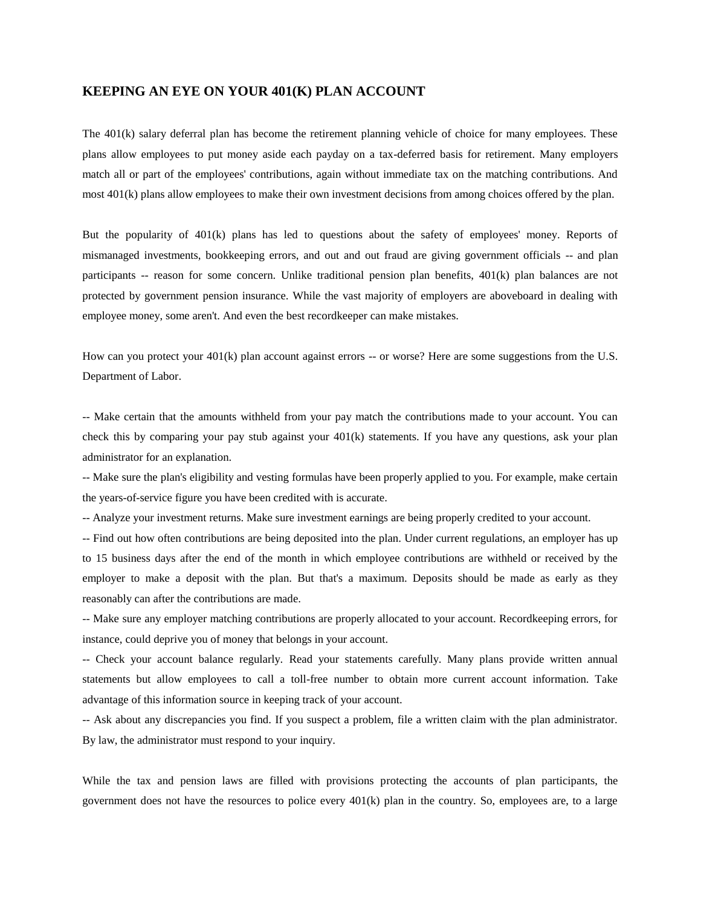## **KEEPING AN EYE ON YOUR 401(K) PLAN ACCOUNT**

The 401(k) salary deferral plan has become the retirement planning vehicle of choice for many employees. These plans allow employees to put money aside each payday on a tax-deferred basis for retirement. Many employers match all or part of the employees' contributions, again without immediate tax on the matching contributions. And most 401(k) plans allow employees to make their own investment decisions from among choices offered by the plan.

But the popularity of 401(k) plans has led to questions about the safety of employees' money. Reports of mismanaged investments, bookkeeping errors, and out and out fraud are giving government officials -- and plan participants -- reason for some concern. Unlike traditional pension plan benefits, 401(k) plan balances are not protected by government pension insurance. While the vast majority of employers are aboveboard in dealing with employee money, some aren't. And even the best recordkeeper can make mistakes.

How can you protect your 401(k) plan account against errors -- or worse? Here are some suggestions from the U.S. Department of Labor.

-- Make certain that the amounts withheld from your pay match the contributions made to your account. You can check this by comparing your pay stub against your 401(k) statements. If you have any questions, ask your plan administrator for an explanation.

-- Make sure the plan's eligibility and vesting formulas have been properly applied to you. For example, make certain the years-of-service figure you have been credited with is accurate.

-- Analyze your investment returns. Make sure investment earnings are being properly credited to your account.

-- Find out how often contributions are being deposited into the plan. Under current regulations, an employer has up to 15 business days after the end of the month in which employee contributions are withheld or received by the employer to make a deposit with the plan. But that's a maximum. Deposits should be made as early as they reasonably can after the contributions are made.

-- Make sure any employer matching contributions are properly allocated to your account. Recordkeeping errors, for instance, could deprive you of money that belongs in your account.

-- Check your account balance regularly. Read your statements carefully. Many plans provide written annual statements but allow employees to call a toll-free number to obtain more current account information. Take advantage of this information source in keeping track of your account.

-- Ask about any discrepancies you find. If you suspect a problem, file a written claim with the plan administrator. By law, the administrator must respond to your inquiry.

While the tax and pension laws are filled with provisions protecting the accounts of plan participants, the government does not have the resources to police every  $401(k)$  plan in the country. So, employees are, to a large